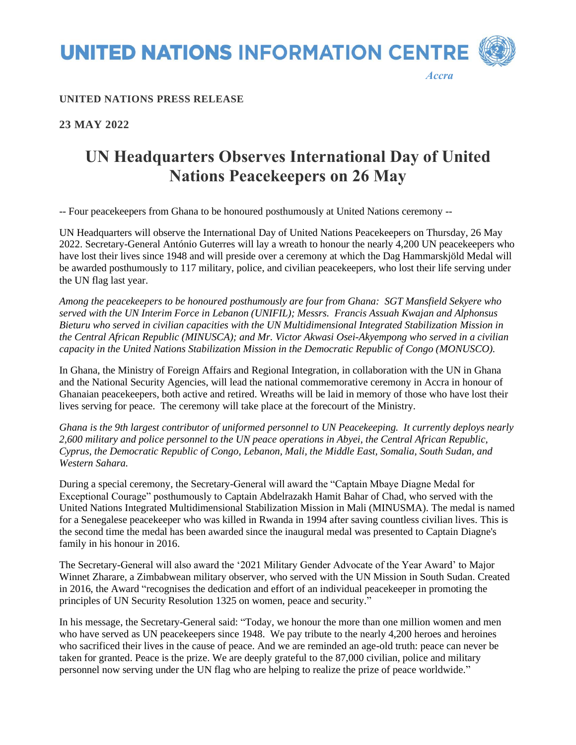**UNITED NATIONS INFORMATION CENTRE** 

*Accra*

### **UNITED NATIONS PRESS RELEASE**

## **23 MAY 2022**

# **UN Headquarters Observes International Day of United Nations Peacekeepers on 26 May**

-- Four peacekeepers from Ghana to be honoured posthumously at United Nations ceremony --

UN Headquarters will observe the International Day of United Nations Peacekeepers on Thursday, 26 May 2022. Secretary-General António Guterres will lay a wreath to honour the nearly 4,200 UN peacekeepers who have lost their lives since 1948 and will preside over a ceremony at which the Dag Hammarskjöld Medal will be awarded posthumously to 117 military, police, and civilian peacekeepers, who lost their life serving under the UN flag last year.

*Among the peacekeepers to be honoured posthumously are four from Ghana: SGT Mansfield Sekyere who served with the UN Interim Force in Lebanon (UNIFIL); Messrs. Francis Assuah Kwajan and Alphonsus Bieturu who served in civilian capacities with the UN Multidimensional Integrated Stabilization Mission in the Central African Republic (MINUSCA); and Mr. Victor Akwasi Osei-Akyempong who served in a civilian capacity in the United Nations Stabilization Mission in the Democratic Republic of Congo (MONUSCO).*

In Ghana, the Ministry of Foreign Affairs and Regional Integration, in collaboration with the UN in Ghana and the National Security Agencies, will lead the national commemorative ceremony in Accra in honour of Ghanaian peacekeepers, both active and retired. Wreaths will be laid in memory of those who have lost their lives serving for peace. The ceremony will take place at the forecourt of the Ministry.

*Ghana is the 9th largest contributor of uniformed personnel to UN Peacekeeping. It currently deploys nearly 2,600 military and police personnel to the UN peace operations in Abyei, the Central African Republic, Cyprus, the Democratic Republic of Congo, Lebanon, Mali, the Middle East, Somalia, South Sudan, and Western Sahara.*

During a special ceremony, the Secretary-General will award the "Captain Mbaye Diagne Medal for Exceptional Courage" posthumously to Captain Abdelrazakh Hamit Bahar of Chad, who served with the United Nations Integrated Multidimensional Stabilization Mission in Mali (MINUSMA). The medal is named for a Senegalese peacekeeper who was killed in Rwanda in 1994 after saving countless civilian lives. This is the second time the medal has been awarded since the inaugural medal was presented to Captain Diagne's family in his honour in 2016.

The Secretary-General will also award the '2021 Military Gender Advocate of the Year Award' to Major Winnet Zharare, a Zimbabwean military observer, who served with the UN Mission in South Sudan. Created in 2016, the Award "recognises the dedication and effort of an individual peacekeeper in promoting the principles of UN Security Resolution 1325 on women, peace and security."

In his message, the Secretary-General said: "Today, we honour the more than one million women and men who have served as UN peacekeepers since 1948. We pay tribute to the nearly 4,200 heroes and heroines who sacrificed their lives in the cause of peace. And we are reminded an age-old truth: peace can never be taken for granted. Peace is the prize. We are deeply grateful to the 87,000 civilian, police and military personnel now serving under the UN flag who are helping to realize the prize of peace worldwide."